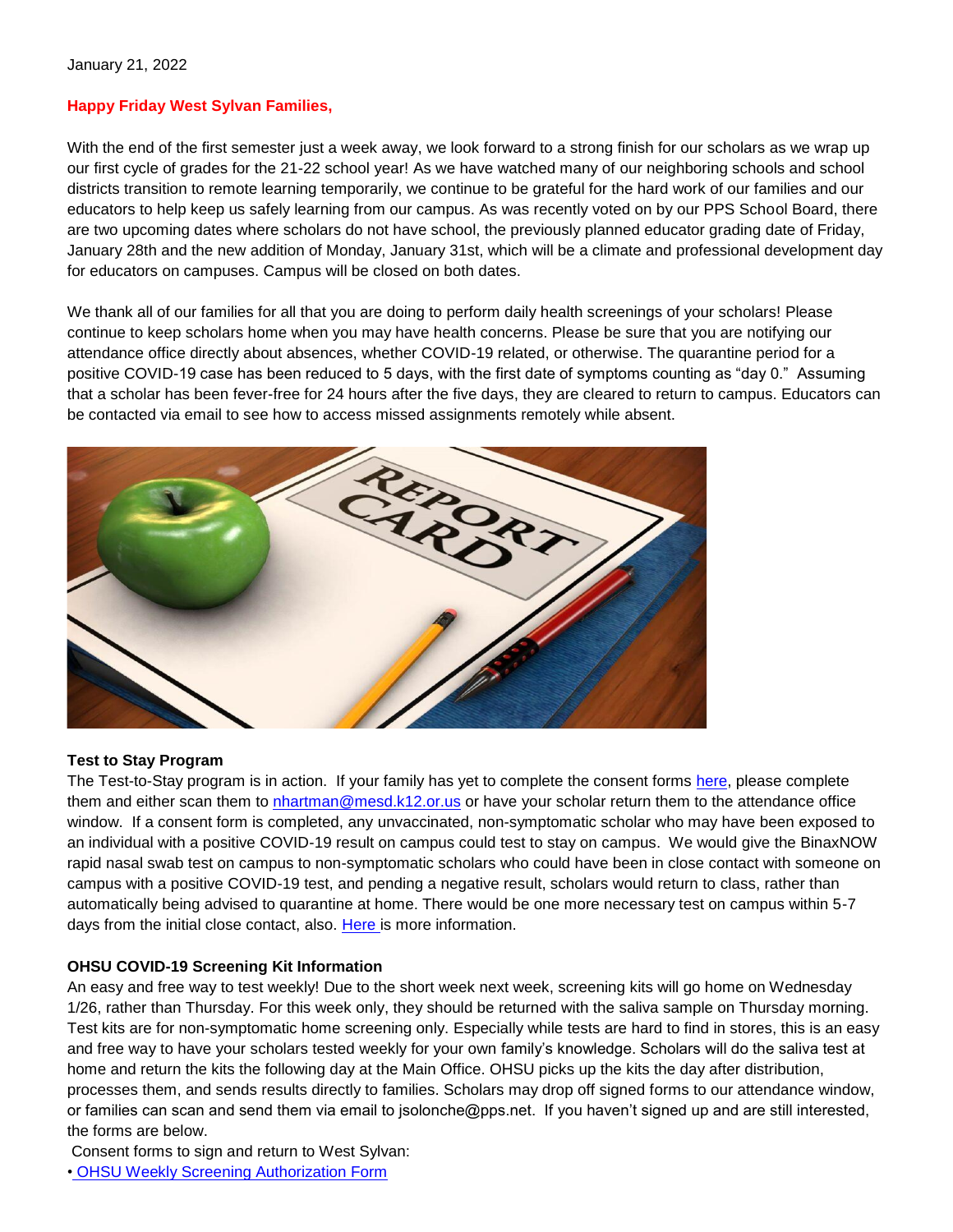## **Happy Friday West Sylvan Families,**

With the end of the first semester just a week away, we look forward to a strong finish for our scholars as we wrap up our first cycle of grades for the 21-22 school year! As we have watched many of our neighboring schools and school districts transition to remote learning temporarily, we continue to be grateful for the hard work of our families and our educators to help keep us safely learning from our campus. As was recently voted on by our PPS School Board, there are two upcoming dates where scholars do not have school, the previously planned educator grading date of Friday, January 28th and the new addition of Monday, January 31st, which will be a climate and professional development day for educators on campuses. Campus will be closed on both dates.

We thank all of our families for all that you are doing to perform daily health screenings of your scholars! Please continue to keep scholars home when you may have health concerns. Please be sure that you are notifying our attendance office directly about absences, whether COVID-19 related, or otherwise. The quarantine period for a positive COVID-19 case has been reduced to 5 days, with the first date of symptoms counting as "day 0." Assuming that a scholar has been fever-free for 24 hours after the five days, they are cleared to return to campus. Educators can be contacted via email to see how to access missed assignments remotely while absent.



#### **Test to Stay Program**

The Test-to-Stay program is in action. If your family has yet to complete the consent forms [here,](https://sharedsystems.dhsoha.state.or.us/DHSForms/Served/le3560e.pdf) please complete them and either scan them to [nhartman@mesd.k12.or.us](mailto:nhartman@mesd.k12.or.us) or have your scholar return them to the attendance office window. If a consent form is completed, any unvaccinated, non-symptomatic scholar who may have been exposed to an individual with a positive COVID-19 result on campus could test to stay on campus. We would give the BinaxNOW rapid nasal swab test on campus to non-symptomatic scholars who could have been in close contact with someone on campus with a positive COVID-19 test, and pending a negative result, scholars would return to class, rather than automatically being advised to quarantine at home. There would be one more necessary test on campus within 5-7 days from the initial close contact, also. [Here is](https://docs.google.com/document/d/1RiifxD8ZyotgtTy4q0zU6VYEbklFNPNaDJapztiE6EI/edit?usp=sharing) more information.

#### **OHSU COVID-19 Screening Kit Information**

An easy and free way to test weekly! Due to the short week next week, screening kits will go home on Wednesday 1/26, rather than Thursday. For this week only, they should be returned with the saliva sample on Thursday morning. Test kits are for non-symptomatic home screening only. Especially while tests are hard to find in stores, this is an easy and free way to have your scholars tested weekly for your own family's knowledge. Scholars will do the saliva test at home and return the kits the following day at the Main Office. OHSU picks up the kits the day after distribution, processes them, and sends results directly to families. Scholars may drop off signed forms to our attendance window, or families can scan and send them via email to jsolonche@pps.net. If you haven't signed up and are still interested, the forms are below.

Consent forms to sign and return to West Sylvan:

[•](https://drive.google.com/file/d/1WKfLwknOXIYGfjiVTURKB7wvlQW8DAhR/view?usp=sharing) [OHSU Weekly Screening Authorization Form](https://drive.google.com/file/d/1WKfLwknOXIYGfjiVTURKB7wvlQW8DAhR/view?usp=sharing)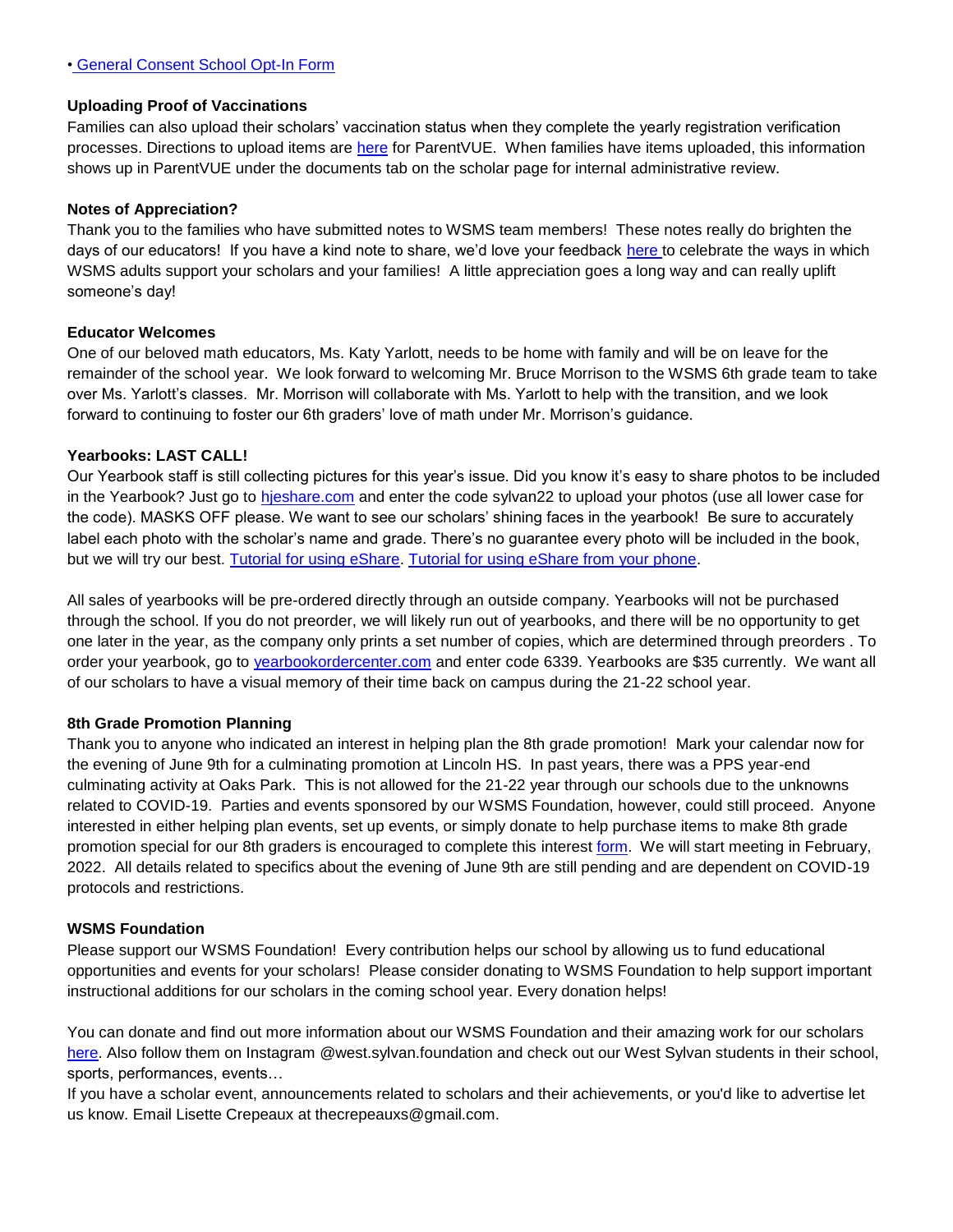#### **Uploading Proof of Vaccinations**

Families can also upload their scholars' vaccination status when they complete the yearly registration verification processes. Directions to upload items are [here](https://docs.google.com/document/d/1AxHhVVEjAqJxV1Vuh9PnfwkZHcp-Tde_x6iFOOEy58Y/edit) for ParentVUE. When families have items uploaded, this information shows up in ParentVUE under the documents tab on the scholar page for internal administrative review.

#### **Notes of Appreciation?**

Thank you to the families who have submitted notes to WSMS team members! These notes really do brighten the days of our educators! If you have a kind note to share, we'd love your feedback [here t](https://forms.gle/3TsJKYDfcfbLhiKu7)o celebrate the ways in which WSMS adults support your scholars and your families! A little appreciation goes a long way and can really uplift someone's day!

#### **Educator Welcomes**

One of our beloved math educators, Ms. Katy Yarlott, needs to be home with family and will be on leave for the remainder of the school year. We look forward to welcoming Mr. Bruce Morrison to the WSMS 6th grade team to take over Ms. Yarlott's classes. Mr. Morrison will collaborate with Ms. Yarlott to help with the transition, and we look forward to continuing to foster our 6th graders' love of math under Mr. Morrison's guidance.

#### **Yearbooks: LAST CALL!**

Our Yearbook staff is still collecting pictures for this year's issue. Did you know it's easy to share photos to be included in the Yearbook? Just go to [hjeshare.com](https://hjeshare.com/eShare/) and enter the code sylvan22 to upload your photos (use all lower case for the code). MASKS OFF please. We want to see our scholars' shining faces in the yearbook! Be sure to accurately label each photo with the scholar's name and grade. There's no guarantee every photo will be included in the book, but we will try our best. [Tutorial for using eShare.](https://herffjones.wistia.com/medias/h1e7m2ythz) [Tutorial for using eShare from your phone.](https://herffjones.wistia.com/medias/62ap3qbbp3)

All sales of yearbooks will be pre-ordered directly through an outside company. Yearbooks will not be purchased through the school. If you do not preorder, we will likely run out of yearbooks, and there will be no opportunity to get one later in the year, as the company only prints a set number of copies, which are determined through preorders . To order your yearbook, go to [yearbookordercenter.com](http://yearbookordercenter.com/) and enter code 6339. Yearbooks are \$35 currently. We want all of our scholars to have a visual memory of their time back on campus during the 21-22 school year.

#### **8th Grade Promotion Planning**

Thank you to anyone who indicated an interest in helping plan the 8th grade promotion! Mark your calendar now for the evening of June 9th for a culminating promotion at Lincoln HS. In past years, there was a PPS year-end culminating activity at Oaks Park. This is not allowed for the 21-22 year through our schools due to the unknowns related to COVID-19. Parties and events sponsored by our WSMS Foundation, however, could still proceed. Anyone interested in either helping plan events, set up events, or simply donate to help purchase items to make 8th grade promotion special for our 8th graders is encouraged to complete this interest [form.](https://forms.gle/Gi3NaW3dNDFK8fNK8) We will start meeting in February, 2022. All details related to specifics about the evening of June 9th are still pending and are dependent on COVID-19 protocols and restrictions.

#### **WSMS Foundation**

Please support our WSMS Foundation! Every contribution helps our school by allowing us to fund educational opportunities and events for your scholars! Please consider donating to WSMS Foundation to help support important instructional additions for our scholars in the coming school year. Every donation helps!

You can donate and find out more information about our WSMS Foundation and their amazing work for our scholars [here.](https://www.westsylvanfoundation.com/) Also follow them on Instagram @west.sylvan.foundation and check out our West Sylvan students in their school, sports, performances, events…

If you have a scholar event, announcements related to scholars and their achievements, or you'd like to advertise let us know. Email Lisette Crepeaux at thecrepeauxs@gmail.com.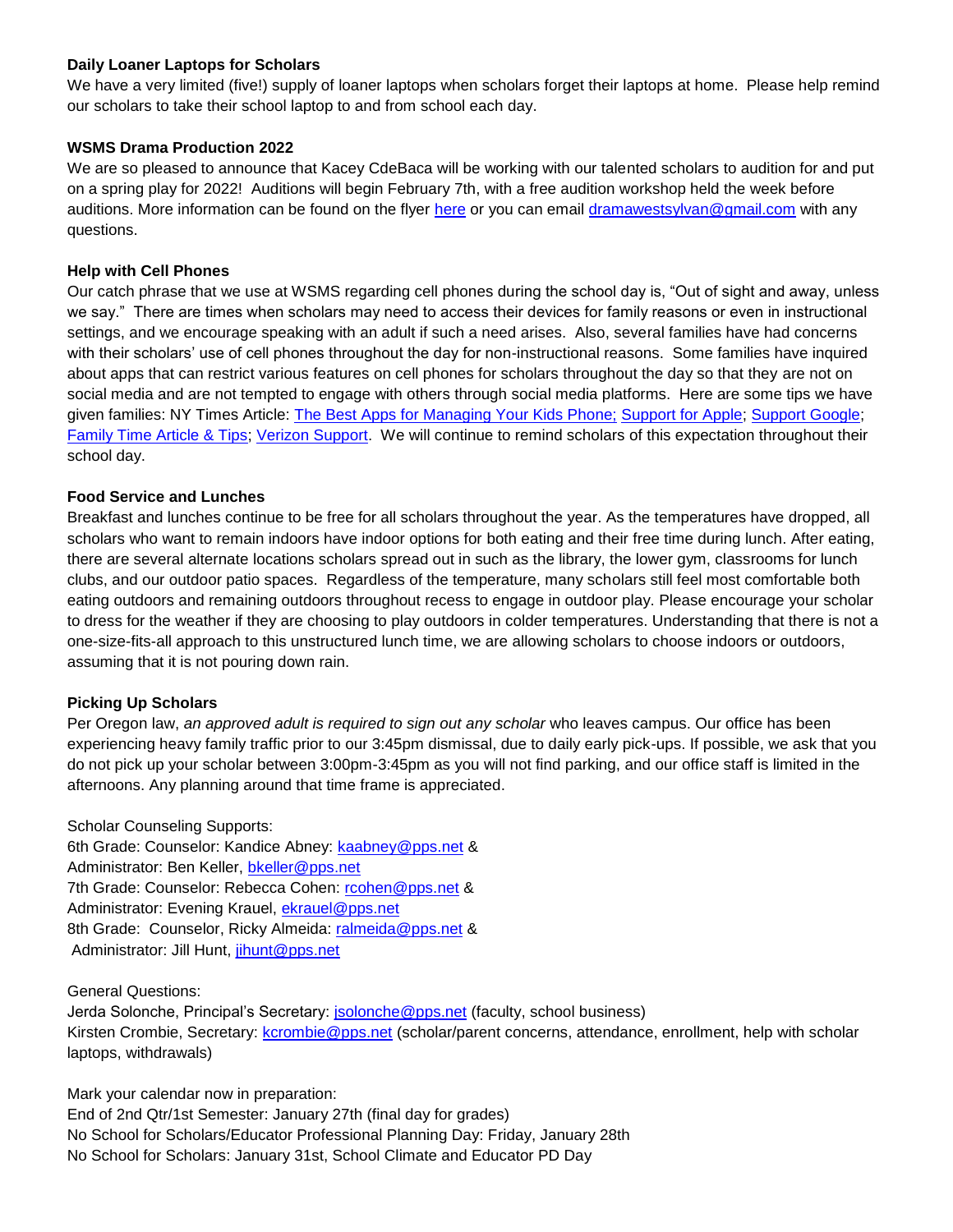#### **Daily Loaner Laptops for Scholars**

We have a very limited (five!) supply of loaner laptops when scholars forget their laptops at home. Please help remind our scholars to take their school laptop to and from school each day.

#### **WSMS Drama Production 2022**

We are so pleased to announce that Kacey CdeBaca will be working with our talented scholars to audition for and put on a spring play for 2022! Auditions will begin February 7th, with a free audition workshop held the week before auditions. More information can be found on the flyer [here](https://drive.google.com/file/d/1IaZuyQpo8qyHRZaSCV1EA3nsbkW7OiVS/view?usp=sharing) or you can email [dramawestsylvan@gmail.com](mailto:dramawestsylvan@gmail.com) with any questions.

## **Help with Cell Phones**

Our catch phrase that we use at WSMS regarding cell phones during the school day is, "Out of sight and away, unless we say." There are times when scholars may need to access their devices for family reasons or even in instructional settings, and we encourage speaking with an adult if such a need arises. Also, several families have had concerns with their scholars' use of cell phones throughout the day for non-instructional reasons. Some families have inquired about apps that can restrict various features on cell phones for scholars throughout the day so that they are not on social media and are not tempted to engage with others through social media platforms. Here are some tips we have given families: NY Times Article: [The Best Apps for Managing Your Kids Phone;](https://www.nytimes.com/wirecutter/reviews/best-apps-to-manage-your-kids-phone/) [Support for Apple;](https://support.apple.com/guide/iphone/set-up-parental-controls-iph00ba7d632/ios) [Support Google](https://support.google.com/families/answer/7103340?hl=en)[;](https://familytime.io/) [Family Time Article & Tips;](https://familytime.io/) [Verizon Support.](https://www.verizon.com/support/verizon-smart-family-restrictions-video/) We will continue to remind scholars of this expectation throughout their school day.

## **Food Service and Lunches**

Breakfast and lunches continue to be free for all scholars throughout the year. As the temperatures have dropped, all scholars who want to remain indoors have indoor options for both eating and their free time during lunch. After eating, there are several alternate locations scholars spread out in such as the library, the lower gym, classrooms for lunch clubs, and our outdoor patio spaces. Regardless of the temperature, many scholars still feel most comfortable both eating outdoors and remaining outdoors throughout recess to engage in outdoor play. Please encourage your scholar to dress for the weather if they are choosing to play outdoors in colder temperatures. Understanding that there is not a one-size-fits-all approach to this unstructured lunch time, we are allowing scholars to choose indoors or outdoors, assuming that it is not pouring down rain.

## **Picking Up Scholars**

Per Oregon law, *an approved adult is required to sign out any scholar* who leaves campus. Our office has been experiencing heavy family traffic prior to our 3:45pm dismissal, due to daily early pick-ups. If possible, we ask that you do not pick up your scholar between 3:00pm-3:45pm as you will not find parking, and our office staff is limited in the afternoons. Any planning around that time frame is appreciated.

Scholar Counseling Supports: 6th Grade: Counselor: Kandice Abney: [kaabney@pps.net](mailto:kaabney@pps.net) & Administrator: Ben Keller, [bkeller@pps.net](mailto:bkeller@pps.net) 7th Grade: Counselor: Rebecca Cohen: [rcohen@pps.net](mailto:rcohen@pps.net) & Administrator: Evening Krauel, [ekrauel@pps.net](mailto:ekrauel@pps.net) 8th Grade: Counselor, Ricky Almeida: [ralmeida@pps.net](mailto:ralmeida@pps.net) & Administrator: Jill Hunt, [jihunt@pps.net](mailto:jihunt@pps.net)

General Questions:

Jerda Solonche, Principal's Secretary: **[jsolonche@pps.net](mailto:jsolonche@pps.net)** (faculty, school business) Kirsten Crombie, Secretary: [kcrombie@pps.net](mailto:kcrombie@pps.net) (scholar/parent concerns, attendance, enrollment, help with scholar laptops, withdrawals)

Mark your calendar now in preparation:

End of 2nd Qtr/1st Semester: January 27th (final day for grades) No School for Scholars/Educator Professional Planning Day: Friday, January 28th No School for Scholars: January 31st, School Climate and Educator PD Day